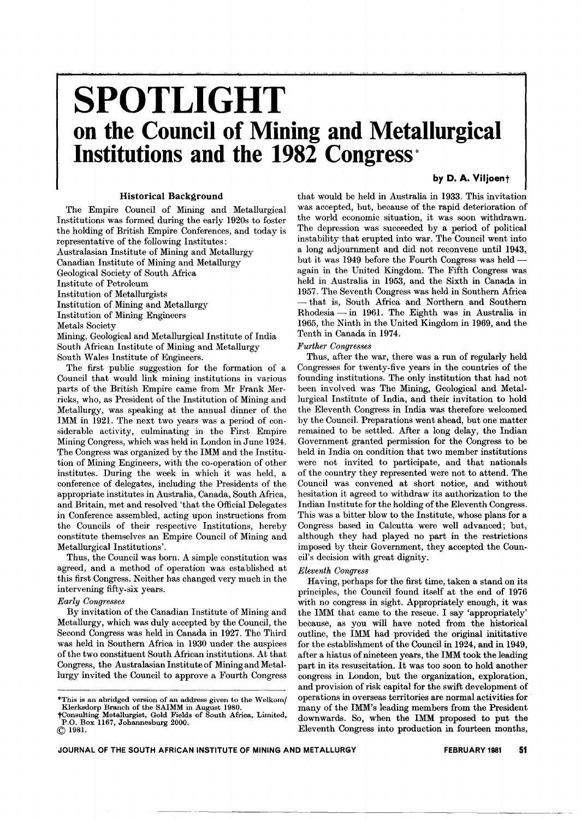# **SPOTLIGHT on the Council of Mining and Metallurgical Institutions and the 1982 Congressi'**

# by D. A. Viljoent

### Historical Background

The Empire Council of Mining and Metallurgical Institutions was formed during the early 1920s to foster the holding of British Empire Conferences, and today is representative of the following Institutes:

Australasian Institute of Mining and Metallurgy

Canadian Institute of Mining and Metallurgy

Geological Society of South Africa

Institute of Petroleum

Institution of Metallurgists

Institution of Mining and Metallurgy

Institution of Mining Engineers

Metals Society

Mining, Geological and Metallurgical Institute of India South African Institute of Mining and Metallurgy South Wales Institute of Engineers.

The first public suggestion for the formation of a Council that would link mining institutions in various parts of the British Empire came from Mr Frank Merricks, who, as President of the Institution of Mining and Metallurgy, was speaking at the annual dinner of the IMM in 1921. The next two years was a period of considerable activity, culminating in the First Empire Mining Congress, which was held in London in June 1924. The Congress was organized by the IMM and the Institution of Mining Engineers, with the co-operation of other institutes. During the week in which it was held, a conference of delegates, including the Presidents of the appropriate institutes in Australia, Canada, South Africa, and Britain, met and resolved 'that the Official Delegates in Conference assembled, acting upon instructions from the Councils of their respective Institutions, hereby constitute themselves an Empire Council of Mining and Metallurgical Institutions'.

Thus, the Council was born. A simple constitution was agreed, and a method of operation was established at this first Congress. Neither has changed very much in the intervening fifty-six years.

# *Early Congresses*

By invitation of the Canadian Institute of Mining and Metallurgy, which was duly accepted by the Council, the Second Congress was held in Canada in 1927. The Third was held in Southern Africa in 1930 under the auspices of the two constituent South African institutions. At that Congress, the Australasian Institute of Mining and Metallurgy invited the Council to approve a Fourth Congress that would be held in Australia in 1933. This invitation was accepted, but, because of the rapid deterioration of the world economic situation, it was soon withdrawn. The depression was succeeded by a period of political instability that erupted into war. The Council went into a long adjournment and did not reconvene until 1943, but it was 1949 before the Fourth Congress was heldagain in the United Kingdom. The Fifth Congress was held in Australia in 1953, and the Sixth in Canada in 1957. The Seventh Congress was held in Southern Africa - Rhodesia - in 1961. The Eighth was in Australia in that is, South Africa and Northern and Southern 1965, the Ninth in the United Kingdom in 1969, and the Tenth in Canada in 1974.

# *Further Congresses*

Thus, after the war, there was a run of regularly held Congresses for twenty-five years in the countries of the founding institutions. The only institution that had not been involved was The Mining, Geological and Metal. lurgical Institute of India, and their invitation to hold the Eleventh Congress in India was therefore welcomed by the Council. Preparations went ahead, but one matter remained to be settled. After a long delay, the Indian Government granted permission for the Congress to be held in India on condition that two member institutions were not invited to participate, and that nationals of the country they represented were not to attend. The Council was convened at short notice, and without hesitation it agreed to withdraw its authorization to the Indian Institute for the holding of the Eleventh Congress. This was a bitter blow to the Institute, whose plans for a Congress based in Calcutta were well advanced; but, although they had played no part in the restrictions imposed by their Government, they accepted the Council's decision with great dignity.

# *Eleventh Congress*

Having, perhaps for the first time, taken a stand on its principles, the Council found itself at the end of 1976 with no congress in sight. Appropriately enough, it was the IMM that came to the rescue. I say 'appropriately' because, as you will have noted from the historical outline, the IMM had provided the original inititative for the establishment of the Council in 1924, and in 1949, after a hiatus of nineteen years, the IMM took the leading part in its resuscitation. It was too soon to hold another congress in London, but the organization, exploration, and provision of risk capital for the swift development of operations in overseas territories are normal activities for many of the IMM's leading members from the President downwards. So, when the IMM proposed to put the Eleventh Congress into production in fourteen months,

<sup>\*</sup>This is an abridged version of an address given to the Welkomj Klerksdorp Branch of the SAIMM in August 1980.

tConsulting Metallurgist, Gold Fields of South Africa, Limited, P.O. Box 1167, Johannesburg 2000. (Q) 1981.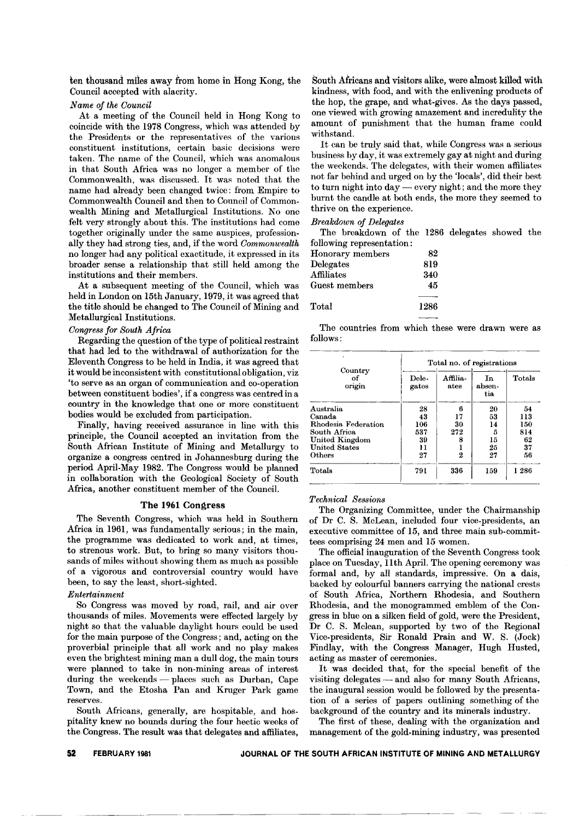ten thousand miles away from home in Hong Kong, the Council accepted with alacrity.

# *Name of the Council*

At a meeting of the Council held in Hong Kong to coincide with the 1978 Congress, which was attended by the Presidents or the representatives of the various constituent institutions, certain basic decisions were taken. The name of the Council, which was anomalous in that South Africa was no longer a member of the Commonwealth, was discussed. It was noted that the name had already been changed twice: from Empire to Commonwealth Council and then to Council of Commonwealth Mining and Metallurgical Institutions. No one felt very strongly about this. The institutions had come together originally under the same auspices, professionally they had strong ties, and, if the word *Commonwealth* no longer had any political exactitude, it expressed in its broader sense a relationship that stilI held among the institutions and their members.

At a subsequent meeting of the Council, which was held in London on 15th January, 1979, it was agreed that the title should be changed to The Council of Mining and Metallurgical Institutions.

### *Congress for South Africa*

Regarding the question of the type of political restraint that had led to the withdrawal of authorization for the Eleventh Congress to be held in India, it was agreed that it would be inconsistent with constitutional obligation, viz 'to serve as an organ of communication and co-operation between constituent bodies', if a congress was centred in a country in the knowledge that one or more constituent bodies would be excluded from participation.

Finally, having received assurance in line with this principle, the Council accepted an invitation from the South African Institute of Mining and Metallurgy to organize a congress centred in Johannesburg during the period April-May 1982. The Congress would be planned in collaboration with the Geological Society of South Africa, another constituent member of the Council.

#### **The 1961 Congress**

The Seventh Congress, which was held in Southern Africa in 1961, was fundamentally serious; in the main, the programme was dedicated to work and, at times, to strenous work. But, to bring so many visitors thousands of miles without showing them as much as possible of a vigorous and controversial country would have been, to say the least, short-sighted.

#### *Entertainment*

So Congress was moved by road, rail, and air over thousands of miles. Movements were effected largely by night so that the valuable daylight hours could be used for the main purpose of the Congress; and, acting on the proverbial principle that all work and no play makes even the brightest mining man a dull dog, the main tours were planned to take in non-mining areas of interest during the weekends—places such as Durban, Cape Town, and the Etosha Pan and Kruger Park game reserves.

South Africans, generally, are hospitable, and hospitality knew no bounds during the four hectic weeks of the Congress. The result was that delegates and affiliates,

South Africans and visitors alike, were almost killed with kindness, with food, and with the enlivening products of the hop, the grape, and what-gives. As the days passed, one viewed with growing amazement and incredulity the amount of punishment that the human frame could withstand.

It can be truly said that, while Congress was a serious business by day, it was extremely gay at night and during the weekends. The delegates, with their women affiliates not far behind and urged on by the 'locals', did their best to turn night into day — every night; and the more they burnt the candle at both ends, the more they seemed to thrive on the experience.

#### *Breakdown of Delegates*

The breakdown of the 1286 delegates showed the following representation:

| $\sim$ 0.11 $\sim$ 0.11 $\sim$ 0.11 $\sim$ 0.11 $\sim$ 0.11 $\sim$ |      |
|--------------------------------------------------------------------|------|
| Honorary members                                                   | 82   |
| Delegates                                                          | 819  |
| ${\rm Affilates}$                                                  | 340  |
| Guest members                                                      | 45   |
|                                                                    |      |
| $\rm Total$                                                        | 1286 |
|                                                                    |      |

The countries from which these were drawn were as follows:

| Country<br>οť<br>origin | Total no. of registrations |                  |                     |        |
|-------------------------|----------------------------|------------------|---------------------|--------|
|                         | Dele-<br>gates             | Affilia-<br>ates | In<br>absen-<br>tia | Totals |
| Australia               | 28                         | R                | 20                  | 54     |
| Canada                  | 43                         | 17               | 53                  | 113    |
| Rhodesia Federation     | 106                        | 30               | 14                  | 150    |
| South Africa            | 537                        | 272              | 5                   | 814    |
| United Kingdom          | 39                         |                  | 15                  | 62     |
| <b>United States</b>    | 11                         |                  | 25                  | 37     |
| Others                  | 27                         | 2                | 27                  | 56     |
| Totals                  | 791                        | 336              | 159                 | 1 286  |

## *Technical Sessions*

The Organizing Committee, under the Chairmanship of Dr C. S. McLean, included four vice-presidents, an executive committee of 15, and three main sub-committees comprising 24 men and 15 women.

The official inauguration of the Seventh Congress took place on Tuesday, IIth April. The opening ceremony was formal and, by all standards, impressive. On a dais, backed by colourful banners carrying the national crests of South Africa, Northern Rhodesia, and Southern Rhodesia, and the monogrammed emblem of the Congress in blue on a silken field of gold, were the President, Dr C. S. Mclean, supported by two of the Regional Vice-presidents, Sir Ronald Prain and W. S. (Jock) Findlay, with the Congress Manager, Hugh Husted, acting as master of ceremonies.

It was decided that, for the special benefit of the visiting delegates - and also for many South Africans, the inaugural session would be followed by the presentation of a series of papers outlining something of the background of the country and its minerals industry.

The first of these, dealing with the organization and management of the gold-mining industry, was presented